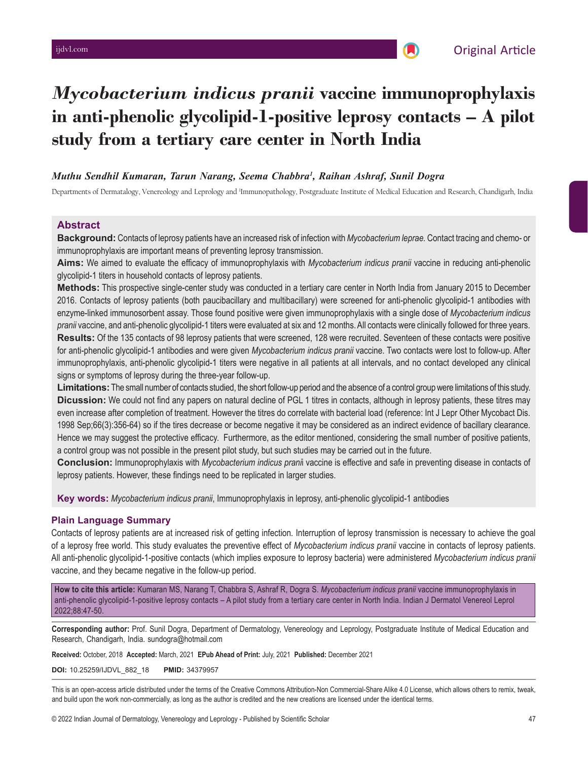# *Mycobacterium indicus pranii* **vaccine immunoprophylaxis in anti-phenolic glycolipid-1-positive leprosy contacts – A pilot study from a tertiary care center in North India**

### *Muthu Sendhil Kumaran, Tarun Narang, Seema Chabbra1 , Raihan Ashraf, Sunil Dogra*

Departments of Dermatalogy, Venereology and Leprology and <sup>1</sup>Immunopathology, Postgraduate Institute of Medical Education and Research, Chandigarh, India

#### **Abstract**

**Background:** Contacts of leprosy patients have an increased risk of infection with *Mycobacterium leprae.* Contact tracing and chemo- or immunoprophylaxis are important means of preventing leprosy transmission.

**Aims:** We aimed to evaluate the efficacy of immunoprophylaxis with *Mycobacterium indicus pranii* vaccine in reducing anti-phenolic glycolipid-1 titers in household contacts of leprosy patients.

**Methods:** This prospective single-center study was conducted in a tertiary care center in North India from January 2015 to December 2016. Contacts of leprosy patients (both paucibacillary and multibacillary) were screened for anti-phenolic glycolipid-1 antibodies with enzyme-linked immunosorbent assay. Those found positive were given immunoprophylaxis with a single dose of *Mycobacterium indicus pranii* vaccine, and anti-phenolic glycolipid-1 titers were evaluated at six and 12 months. All contacts were clinically followed for three years. **Results:** Of the 135 contacts of 98 leprosy patients that were screened, 128 were recruited. Seventeen of these contacts were positive for anti-phenolic glycolipid-1 antibodies and were given *Mycobacterium indicus pranii* vaccine. Two contacts were lost to follow-up. After immunoprophylaxis, anti-phenolic glycolipid-1 titers were negative in all patients at all intervals, and no contact developed any clinical signs or symptoms of leprosy during the three-year follow-up.

**Limitations:** The small number of contacts studied, the short follow-up period and the absence of a control group were limitations of this study. **Dicussion:** We could not find any papers on natural decline of PGL 1 titres in contacts, although in leprosy patients, these titres may even increase after completion of treatment. However the titres do correlate with bacterial load (reference: Int J Lepr Other Mycobact Dis. 1998 Sep;66(3):356-64) so if the tires decrease or become negative it may be considered as an indirect evidence of bacillary clearance. Hence we may suggest the protective efficacy. Furthermore, as the editor mentioned, considering the small number of positive patients, a control group was not possible in the present pilot study, but such studies may be carried out in the future.

**Conclusion:** Immunoprophylaxis with *Mycobacterium indicus prani*i vaccine is effective and safe in preventing disease in contacts of leprosy patients. However, these findings need to be replicated in larger studies.

**Key words:** *Mycobacterium indicus pranii*, Immunoprophylaxis in leprosy, anti-phenolic glycolipid-1 antibodies

#### **Plain Language Summary**

Contacts of leprosy patients are at increased risk of getting infection*.* Interruption of leprosy transmission is necessary to achieve the goal of a leprosy free world. This study evaluates the preventive effect of *Mycobacterium indicus pranii* vaccine in contacts of leprosy patients. All anti-phenolic glycolipid-1-positive contacts (which implies exposure to leprosy bacteria) were administered *Mycobacterium indicus pranii* vaccine, and they became negative in the follow-up period.

**How to cite this article:** Kumaran MS, Narang T, Chabbra S, Ashraf R, Dogra S. *Mycobacterium indicus pranii* vaccine immunoprophylaxis in anti-phenolic glycolipid-1-positive leprosy contacts – A pilot study from a tertiary care center in North India. Indian J Dermatol Venereol Leprol 2022;88:47-50.

**Corresponding author:** Prof. Sunil Dogra, Department of Dermatology, Venereology and Leprology, Postgraduate Institute of Medical Education and Research, Chandigarh, India. sundogra@hotmail.com

**Received:** October, 2018 **Accepted:** March, 2021 **EPub Ahead of Print:** July, 2021 **Published:** December 2021

**DOI:** 10.25259/IJDVL\_882\_18 **PMID:** 34379957

This is an open-access article distributed under the terms of the Creative Commons Attribution-Non Commercial-Share Alike 4.0 License, which allows others to remix, tweak, and build upon the work non-commercially, as long as the author is credited and the new creations are licensed under the identical terms.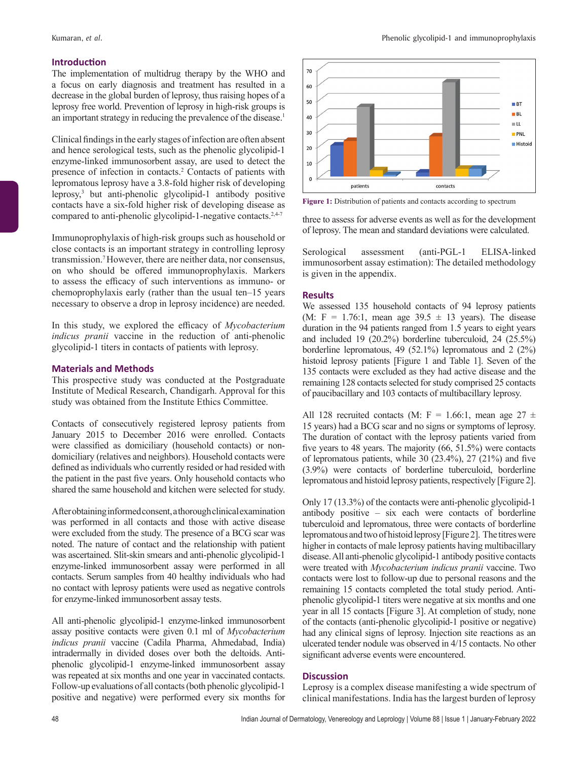#### **Introduction**

The implementation of multidrug therapy by the WHO and a focus on early diagnosis and treatment has resulted in a decrease in the global burden of leprosy, thus raising hopes of a leprosy free world. Prevention of leprosy in high-risk groups is an important strategy in reducing the prevalence of the disease.<sup>1</sup>

Clinical findings in the early stages of infection are often absent and hence serological tests, such as the phenolic glycolipid-1 enzyme-linked immunosorbent assay, are used to detect the presence of infection in contacts.<sup>2</sup> Contacts of patients with lepromatous leprosy have a 3.8-fold higher risk of developing leprosy,3 but anti-phenolic glycolipid-1 antibody positive contacts have a six-fold higher risk of developing disease as compared to anti-phenolic glycolipid-1-negative contacts.<sup>2,4-7</sup>

Immunoprophylaxis of high-risk groups such as household or close contacts is an important strategy in controlling leprosy transmission.7 However, there are neither data, nor consensus, on who should be offered immunoprophylaxis. Markers to assess the efficacy of such interventions as immuno- or chemoprophylaxis early (rather than the usual ten–15 years necessary to observe a drop in leprosy incidence) are needed.

In this study, we explored the efficacy of *Mycobacterium indicus pranii* vaccine in the reduction of anti-phenolic glycolipid-1 titers in contacts of patients with leprosy.

#### **Materials and Methods**

This prospective study was conducted at the Postgraduate Institute of Medical Research, Chandigarh. Approval for this study was obtained from the Institute Ethics Committee.

Contacts of consecutively registered leprosy patients from January 2015 to December 2016 were enrolled. Contacts were classified as domiciliary (household contacts) or nondomiciliary (relatives and neighbors). Household contacts were defined as individuals who currently resided or had resided with the patient in the past five years. Only household contacts who shared the same household and kitchen were selected for study.

After obtaining informed consent, a thorough clinical examination was performed in all contacts and those with active disease were excluded from the study. The presence of a BCG scar was noted. The nature of contact and the relationship with patient was ascertained. Slit-skin smears and anti-phenolic glycolipid-1 enzyme-linked immunosorbent assay were performed in all contacts. Serum samples from 40 healthy individuals who had no contact with leprosy patients were used as negative controls for enzyme-linked immunosorbent assay tests.

All anti-phenolic glycolipid-1 enzyme-linked immunosorbent assay positive contacts were given 0.1 ml of *Mycobacterium indicus pranii* vaccine (Cadila Pharma, Ahmedabad, India) intradermally in divided doses over both the deltoids. Antiphenolic glycolipid-1 enzyme-linked immunosorbent assay was repeated at six months and one year in vaccinated contacts. Follow-up evaluations of all contacts (both phenolic glycolipid-1 positive and negative) were performed every six months for



**Figure 1:** Distribution of patients and contacts according to spectrum

three to assess for adverse events as well as for the development of leprosy. The mean and standard deviations were calculated.

Serological assessment (anti-PGL-1 ELISA-linked immunosorbent assay estimation): The detailed methodology is given in the appendix.

#### **Results**

We assessed 135 household contacts of 94 leprosy patients (M: F = 1.76:1, mean age  $39.5 \pm 13$  years). The disease duration in the 94 patients ranged from 1.5 years to eight years and included 19 (20.2%) borderline tuberculoid, 24 (25.5%) borderline lepromatous, 49 (52.1%) lepromatous and 2 (2%) histoid leprosy patients [Figure 1 and Table 1]. Seven of the 135 contacts were excluded as they had active disease and the remaining 128 contacts selected for study comprised 25 contacts of paucibacillary and 103 contacts of multibacillary leprosy.

All 128 recruited contacts (M: F = 1.66:1, mean age 27  $\pm$ 15 years) had a BCG scar and no signs or symptoms of leprosy. The duration of contact with the leprosy patients varied from five years to 48 years. The majority (66, 51.5%) were contacts of lepromatous patients, while 30 (23.4%), 27 (21%) and five (3.9%) were contacts of borderline tuberculoid, borderline lepromatous and histoid leprosy patients, respectively [Figure 2].

Only 17 (13.3%) of the contacts were anti-phenolic glycolipid-1 antibody positive – six each were contacts of borderline tuberculoid and lepromatous, three were contacts of borderline lepromatous and two of histoid leprosy [Figure2]. The titres were higher in contacts of male leprosy patients having multibacillary disease. All anti-phenolic glycolipid-1 antibody positive contacts were treated with *Mycobacterium indicus pranii* vaccine. Two contacts were lost to follow-up due to personal reasons and the remaining 15 contacts completed the total study period. Antiphenolic glycolipid-1 titers were negative at six months and one year in all 15 contacts [Figure 3]. At completion of study, none of the contacts (anti-phenolic glycolipid-1 positive or negative) had any clinical signs of leprosy. Injection site reactions as an ulcerated tender nodule was observed in 4/15 contacts. No other significant adverse events were encountered.

#### **Discussion**

Leprosy is a complex disease manifesting a wide spectrum of clinical manifestations. India has the largest burden of leprosy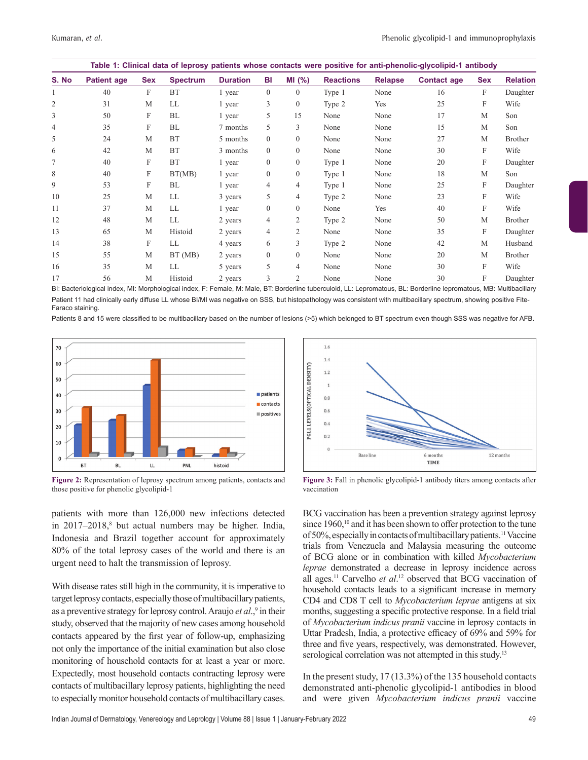| Table 1: Clinical data of leprosy patients whose contacts were positive for anti-phenolic-glycolipid-1 antibody |                    |            |                 |                 |                |                  |                  |                |                    |            |                 |
|-----------------------------------------------------------------------------------------------------------------|--------------------|------------|-----------------|-----------------|----------------|------------------|------------------|----------------|--------------------|------------|-----------------|
| S. No                                                                                                           | <b>Patient age</b> | <b>Sex</b> | <b>Spectrum</b> | <b>Duration</b> | BI             | MI(%)            | <b>Reactions</b> | <b>Relapse</b> | <b>Contact age</b> | <b>Sex</b> | <b>Relation</b> |
|                                                                                                                 | 40                 | F          | <b>BT</b>       | 1 year          | $\Omega$       | $\left( \right)$ | Type 1           | None           | 16                 | F          | Daughter        |
| $\overline{2}$                                                                                                  | 31                 | M          | LL              | 1 year          | 3              | $\overline{0}$   | Type 2           | Yes            | 25                 | F          | Wife            |
| 3                                                                                                               | 50                 | F          | BL              | 1 year          | 5              | 15               | None             | None           | 17                 | M          | Son             |
| $\overline{4}$                                                                                                  | 35                 | F          | BL              | 7 months        | 5              | 3                | None             | None           | 15                 | M          | Son             |
| 5                                                                                                               | 24                 | M          | <b>BT</b>       | 5 months        | $\theta$       | $\overline{0}$   | None             | None           | 27                 | M          | <b>Brother</b>  |
| 6                                                                                                               | 42                 | М          | <b>BT</b>       | 3 months        | $\theta$       | $\overline{0}$   | None             | None           | 30                 | F          | Wife            |
|                                                                                                                 | 40                 | F          | <b>BT</b>       | 1 year          | $\theta$       | $\overline{0}$   | Type 1           | None           | 20                 | F          | Daughter        |
| 8                                                                                                               | 40                 | F          | BT(MB)          | 1 year          | $\theta$       | $\overline{0}$   | Type 1           | None           | 18                 | M          | Son             |
| 9                                                                                                               | 53                 | F          | BL              | 1 year          | 4              | 4                | Type 1           | None           | 25                 | F          | Daughter        |
| 10                                                                                                              | 25                 | M          | LL              | 3 years         | 5              | $\overline{4}$   | Type 2           | None           | 23                 | F          | Wife            |
| 11                                                                                                              | 37                 | M          | LL              | 1 year          | $\theta$       | $\overline{0}$   | None             | Yes            | 40                 | F          | Wife            |
| 12                                                                                                              | 48                 | M          | LL              | 2 years         | $\overline{4}$ | 2                | Type 2           | None           | 50                 | M          | <b>Brother</b>  |
| 13                                                                                                              | 65                 | M          | Histoid         | 2 years         | $\overline{4}$ | 2                | None             | None           | 35                 | F          | Daughter        |
| 14                                                                                                              | 38                 | F          | LL              | 4 years         | 6              | 3                | Type 2           | None           | 42                 | M          | Husband         |
| 15                                                                                                              | 55                 | M          | BT (MB)         | 2 years         | $\mathbf{0}$   | $\overline{0}$   | None             | None           | 20                 | M          | <b>Brother</b>  |
| 16                                                                                                              | 35                 | M          | LL              | 5 years         | 5              | 4                | None             | None           | 30                 | F          | Wife            |
| 17                                                                                                              | 56                 | М          | Histoid         | 2 years         | 3              | 2                | None             | None           | 30                 | F          | Daughter        |

BI: Bacteriological index, MI: Morphological index, F: Female, M: Male, BT: Borderline tuberculoid, LL: Lepromatous, BL: Borderline lepromatous, MB: Multibacillary Patient 11 had clinically early diffuse LL whose BI/MI was negative on SSS, but histopathology was consistent with multibacillary spectrum, showing positive Fite-Faraco staining.

Patients 8 and 15 were classified to be multibacillary based on the number of lesions (>5) which belonged to BT spectrum even though SSS was negative for AFB.



**Figure 2:** Representation of leprosy spectrum among patients, contacts and those positive for phenolic glycolipid-1

patients with more than 126,000 new infections detected in 2017–2018,<sup>8</sup> but actual numbers may be higher. India, Indonesia and Brazil together account for approximately 80% of the total leprosy cases of the world and there is an urgent need to halt the transmission of leprosy.

With disease rates still high in the community, it is imperative to target leprosy contacts, especially those of multibacillary patients, as a preventive strategy for leprosy control. Araujo *et al*.,<sup>9</sup> in their study, observed that the majority of new cases among household contacts appeared by the first year of follow-up, emphasizing not only the importance of the initial examination but also close monitoring of household contacts for at least a year or more. Expectedly, most household contacts contracting leprosy were contacts of multibacillary leprosy patients, highlighting the need to especially monitor household contacts of multibacillary cases.



**Figure 3:** Fall in phenolic glycolipid-1 antibody titers among contacts after vaccination

BCG vaccination has been a prevention strategy against leprosy since 1960,<sup>10</sup> and it has been shown to offer protection to the tune of 50%, especially in contacts of multibacillary patients.11 Vaccine trials from Venezuela and Malaysia measuring the outcome of BCG alone or in combination with killed *Mycobacterium leprae* demonstrated a decrease in leprosy incidence across all ages.<sup>11</sup> Carvelho et al.<sup>12</sup> observed that BCG vaccination of household contacts leads to a significant increase in memory CD4 and CD8 T cell to *Mycobacterium leprae* antigens at six months, suggesting a specific protective response. In a field trial of *Mycobacterium indicus pranii* vaccine in leprosy contacts in Uttar Pradesh, India, a protective efficacy of 69% and 59% for three and five years, respectively, was demonstrated. However, serological correlation was not attempted in this study.<sup>13</sup>

In the present study, 17 (13.3%) of the 135 household contacts demonstrated anti-phenolic glycolipid-1 antibodies in blood and were given *Mycobacterium indicus pranii* vaccine